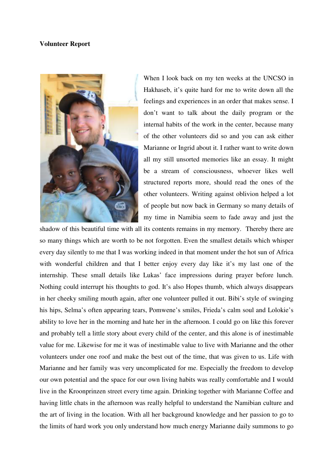## **Volunteer Report**



When I look back on my ten weeks at the UNCSO in Hakhaseb, it's quite hard for me to write down all the feelings and experiences in an order that makes sense. I don't want to talk about the daily program or the internal habits of the work in the center, because many of the other volunteers did so and you can ask either Marianne or Ingrid about it. I rather want to write down all my still unsorted memories like an essay. It might be a stream of consciousness, whoever likes well structured reports more, should read the ones of the other volunteers. Writing against oblivion helped a lot of people but now back in Germany so many details of my time in Namibia seem to fade away and just the

shadow of this beautiful time with all its contents remains in my memory. Thereby there are so many things which are worth to be not forgotten. Even the smallest details which whisper every day silently to me that I was working indeed in that moment under the hot sun of Africa with wonderful children and that I better enjoy every day like it's my last one of the internship. These small details like Lukas' face impressions during prayer before lunch. Nothing could interrupt his thoughts to god. It's also Hopes thumb, which always disappears in her cheeky smiling mouth again, after one volunteer pulled it out. Bibi's style of swinging his hips, Selma's often appearing tears, Pomwene's smiles, Frieda's calm soul and Lolokie's ability to love her in the morning and hate her in the afternoon. I could go on like this forever and probably tell a little story about every child of the center, and this alone is of inestimable value for me. Likewise for me it was of inestimable value to live with Marianne and the other volunteers under one roof and make the best out of the time, that was given to us. Life with Marianne and her family was very uncomplicated for me. Especially the freedom to develop our own potential and the space for our own living habits was really comfortable and I would live in the Kroonprinzen street every time again. Drinking together with Marianne Coffee and having little chats in the afternoon was really helpful to understand the Namibian culture and the art of living in the location. With all her background knowledge and her passion to go to the limits of hard work you only understand how much energy Marianne daily summons to go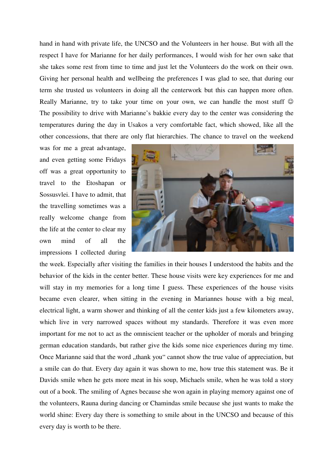hand in hand with private life, the UNCSO and the Volunteers in her house. But with all the respect I have for Marianne for her daily performances, I would wish for her own sake that she takes some rest from time to time and just let the Volunteers do the work on their own. Giving her personal health and wellbeing the preferences I was glad to see, that during our term she trusted us volunteers in doing all the centerwork but this can happen more often. Really Marianne, try to take your time on your own, we can handle the most stuff  $\odot$ The possibility to drive with Marianne's bakkie every day to the center was considering the temperatures during the day in Usakos a very comfortable fact, which showed, like all the other concessions, that there are only flat hierarchies. The chance to travel on the weekend

was for me a great advantage, and even getting some Fridays off was a great opportunity to travel to the Etoshapan or Sossusvlei. I have to admit, that the travelling sometimes was a really welcome change from the life at the center to clear my own mind of all the impressions I collected during



the week. Especially after visiting the families in their houses I understood the habits and the behavior of the kids in the center better. These house visits were key experiences for me and will stay in my memories for a long time I guess. These experiences of the house visits became even clearer, when sitting in the evening in Mariannes house with a big meal, electrical light, a warm shower and thinking of all the center kids just a few kilometers away, which live in very narrowed spaces without my standards. Therefore it was even more important for me not to act as the omniscient teacher or the upholder of morals and bringing german education standards, but rather give the kids some nice experiences during my time. Once Marianne said that the word "thank you" cannot show the true value of appreciation, but a smile can do that. Every day again it was shown to me, how true this statement was. Be it Davids smile when he gets more meat in his soup, Michaels smile, when he was told a story out of a book. The smiling of Agnes because she won again in playing memory against one of the volunteers, Rauna during dancing or Chamindas smile because she just wants to make the world shine: Every day there is something to smile about in the UNCSO and because of this every day is worth to be there.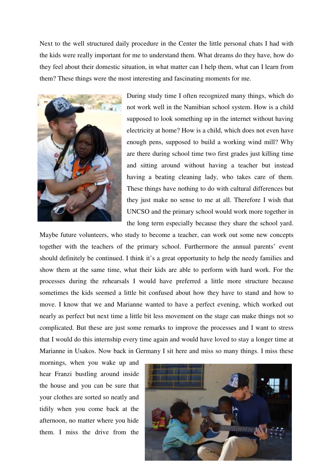Next to the well structured daily procedure in the Center the little personal chats I had with the kids were really important for me to understand them. What dreams do they have, how do they feel about their domestic situation, in what matter can I help them, what can I learn from them? These things were the most interesting and fascinating moments for me.



During study time I often recognized many things, which do not work well in the Namibian school system. How is a child supposed to look something up in the internet without having electricity at home? How is a child, which does not even have enough pens, supposed to build a working wind mill? Why are there during school time two first grades just killing time and sitting around without having a teacher but instead having a beating cleaning lady, who takes care of them. These things have nothing to do with cultural differences but they just make no sense to me at all. Therefore I wish that UNCSO and the primary school would work more together in the long term especially because they share the school yard.

Maybe future volunteers, who study to become a teacher, can work out some new concepts together with the teachers of the primary school. Furthermore the annual parents' event should definitely be continued. I think it's a great opportunity to help the needy families and show them at the same time, what their kids are able to perform with hard work. For the processes during the rehearsals I would have preferred a little more structure because sometimes the kids seemed a little bit confused about how they have to stand and how to move. I know that we and Marianne wanted to have a perfect evening, which worked out nearly as perfect but next time a little bit less movement on the stage can make things not so complicated. But these are just some remarks to improve the processes and I want to stress that I would do this internship every time again and would have loved to stay a longer time at Marianne in Usakos. Now back in Germany I sit here and miss so many things. I miss these

mornings, when you wake up and hear Franzi bustling around inside the house and you can be sure that your clothes are sorted so neatly and tidily when you come back at the afternoon, no matter where you hide them. I miss the drive from the